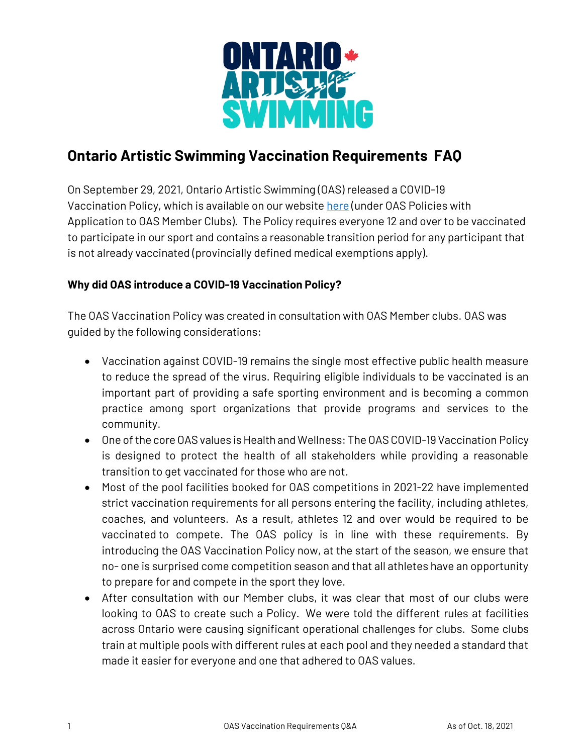

# **Ontario Artistic Swimming Vaccination Requirements FAQ**

On September 29, 2021, Ontario Artistic Swimming (OAS) released a COVID-19 Vaccination Policy, which is available on our website [here](https://ontarioartisticswimming.ca/ontario-artistic-swimming-policies/) (under OAS Policies with Application to OAS Member Clubs). The Policy requires everyone 12 and over to be vaccinated to participate in our sport and contains a reasonable transition period for any participant that is not already vaccinated (provincially defined medical exemptions apply).

### **Why did OAS introduce a COVID-19 Vaccination Policy?**

The OAS Vaccination Policy was created in consultation with OAS Member clubs. OAS was guided by the following considerations:

- Vaccination against COVID-19 remains the single most effective public health measure to reduce the spread of the virus. Requiring eligible individuals to be vaccinated is an important part of providing a safe sporting environment and is becoming a common practice among sport organizations that provide programs and services to the community.
- One of the core OAS values is Health and Wellness: The OAS COVID-19 Vaccination Policy is designed to protect the health of all stakeholders while providing a reasonable transition to get vaccinated for those who are not.
- Most of the pool facilities booked for OAS competitions in 2021-22 have implemented strict vaccination requirements for all persons entering the facility, including athletes, coaches, and volunteers. As a result, athletes 12 and over would be required to be vaccinated to compete. The OAS policy is in line with these requirements. By introducing the OAS Vaccination Policy now, at the start of the season, we ensure that no- one is surprised come competition season and that all athletes have an opportunity to prepare for and compete in the sport they love.
- After consultation with our Member clubs, it was clear that most of our clubs were looking to OAS to create such a Policy. We were told the different rules at facilities across Ontario were causing significant operational challenges for clubs. Some clubs train at multiple pools with different rules at each pool and they needed a standard that made it easier for everyone and one that adhered to OAS values.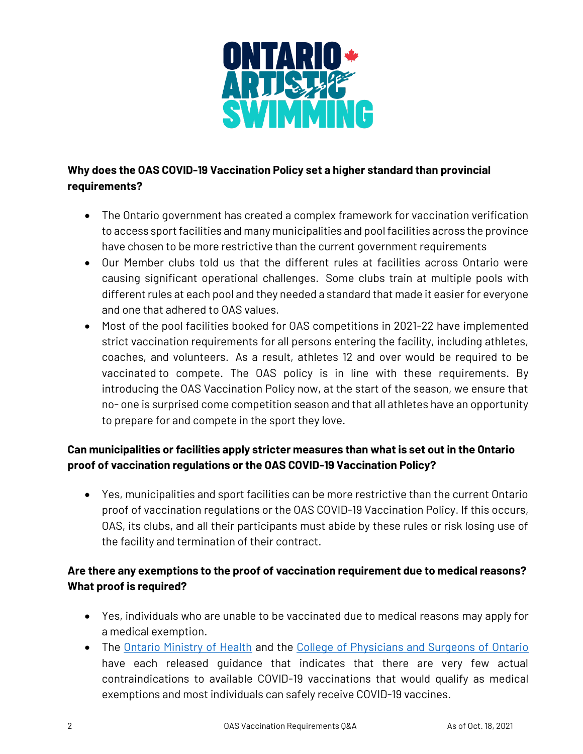

# **Why does the OAS COVID-19 Vaccination Policy set a higher standard than provincial requirements?**

- The Ontario government has created a complex framework for vaccination verification to access sport facilities and many municipalities and pool facilities across the province have chosen to be more restrictive than the current government requirements
- Our Member clubs told us that the different rules at facilities across Ontario were causing significant operational challenges. Some clubs train at multiple pools with different rules at each pool and they needed a standard that made it easier for everyone and one that adhered to OAS values.
- Most of the pool facilities booked for OAS competitions in 2021-22 have implemented strict vaccination requirements for all persons entering the facility, including athletes, coaches, and volunteers. As a result, athletes 12 and over would be required to be vaccinated to compete. The OAS policy is in line with these requirements. By introducing the OAS Vaccination Policy now, at the start of the season, we ensure that no- one is surprised come competition season and that all athletes have an opportunity to prepare for and compete in the sport they love.

# **Can municipalities or facilities apply stricter measures than what is set out in the Ontario proof of vaccination regulations or the OAS COVID-19 Vaccination Policy?**

• Yes, municipalities and sport facilities can be more restrictive than the current Ontario proof of vaccination regulations or the OAS COVID-19 Vaccination Policy. If this occurs, OAS, its clubs, and all their participants must abide by these rules or risk losing use of the facility and termination of their contract.

# **Are there any exemptions to the proof of vaccination requirement due to medical reasons? What proof is required?**

- Yes, individuals who are unable to be vaccinated due to medical reasons may apply for a medical exemption.
- The [Ontario Ministry of Health](https://health.gov.on.ca/en/pro/programs/publichealth/coronavirus/docs/vaccine/medical_exemptions_to_vaccination.pdf) and the [College of Physicians and Surgeons of Ontario](https://www.cpso.on.ca/Physicians/Your-Practice/Physician-Advisory-Services/COVID-19-FAQs-for-Physicians) have each released guidance that indicates that there are very few actual contraindications to available COVID-19 vaccinations that would qualify as medical exemptions and most individuals can safely receive COVID-19 vaccines.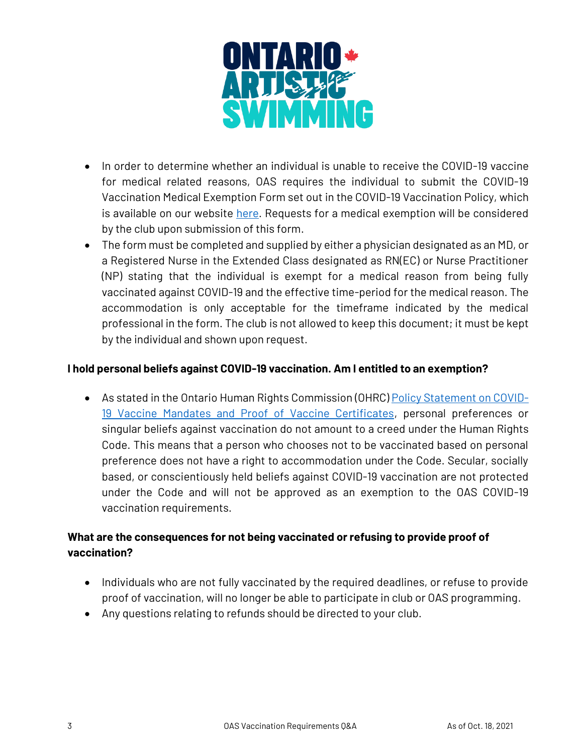

- In order to determine whether an individual is unable to receive the COVID-19 vaccine for medical related reasons, OAS requires the individual to submit the COVID-19 Vaccination Medical Exemption Form set out in the COVID-19 Vaccination Policy, which is available on our website [here.](https://ontarioartisticswimming.ca/ontario-artistic-swimming-policies/) Requests for a medical exemption will be considered by the club upon submission of this form.
- The form must be completed and supplied by either a physician designated as an MD, or a Registered Nurse in the Extended Class designated as RN(EC) or Nurse Practitioner (NP) stating that the individual is exempt for a medical reason from being fully vaccinated against COVID-19 and the effective time-period for the medical reason. The accommodation is only acceptable for the timeframe indicated by the medical professional in the form. The club is not allowed to keep this document; it must be kept by the individual and shown upon request.

#### **I hold personal beliefs against COVID-19 vaccination. Am I entitled to an exemption?**

• As stated in the Ontario Human Rights Commission (OHRC) [Policy Statement on COVID-](http://www.ohrc.on.ca/en/news_centre/ohrc-policy-statement-covid-19-vaccine-mandates-and-proof-vaccine-certificates)[19 Vaccine Mandates and Proof of Vaccine Certificates,](http://www.ohrc.on.ca/en/news_centre/ohrc-policy-statement-covid-19-vaccine-mandates-and-proof-vaccine-certificates) personal preferences or singular beliefs against vaccination do not amount to a creed under the Human Rights Code. This means that a person who chooses not to be vaccinated based on personal preference does not have a right to accommodation under the Code. Secular, socially based, or conscientiously held beliefs against COVID-19 vaccination are not protected under the Code and will not be approved as an exemption to the OAS COVID-19 vaccination requirements.

## **What are the consequences for not being vaccinated or refusing to provide proof of vaccination?**

- Individuals who are not fully vaccinated by the required deadlines, or refuse to provide proof of vaccination, will no longer be able to participate in club or OAS programming.
- Any questions relating to refunds should be directed to your club.